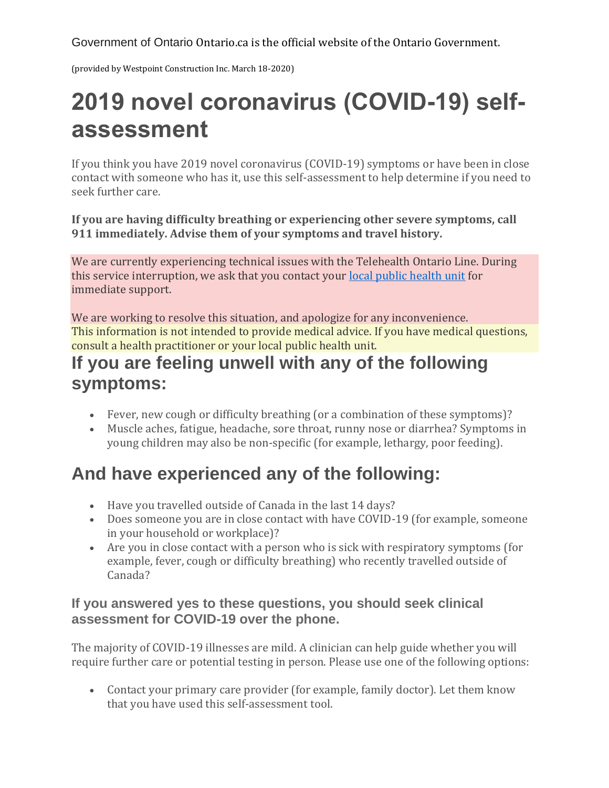Government of Ontario Ontario.ca is the official website of the Ontario Government.

(provided by Westpoint Construction Inc. March 18-2020)

# **2019 novel coronavirus (COVID-19) selfassessment**

If you think you have 2019 novel coronavirus (COVID-19) symptoms or have been in close contact with someone who has it, use this self-assessment to help determine if you need to seek further care.

**If you are having difficulty breathing or experiencing other severe symptoms, call 911 immediately. Advise them of your symptoms and travel history.**

We are currently experiencing technical issues with the Telehealth Ontario Line. During this service interruption, we ask that you contact your [local public health unit](https://www.phdapps.health.gov.on.ca/PHULocator/Default.aspx) for immediate support.

We are working to resolve this situation, and apologize for any inconvenience. This information is not intended to provide medical advice. If you have medical questions, consult a health practitioner or your local public health unit.

### **If you are feeling unwell with any of the following symptoms:**

- Fever, new cough or difficulty breathing (or a combination of these symptoms)?
- Muscle aches, fatigue, headache, sore throat, runny nose or diarrhea? Symptoms in young children may also be non-specific (for example, lethargy, poor feeding).

## **And have experienced any of the following:**

- Have you travelled outside of Canada in the last 14 days?
- Does someone you are in close contact with have COVID-19 (for example, someone in your household or workplace)?
- Are you in close contact with a person who is sick with respiratory symptoms (for example, fever, cough or difficulty breathing) who recently travelled outside of Canada?

### **If you answered yes to these questions, you should seek clinical assessment for COVID-19 over the phone.**

The majority of COVID-19 illnesses are mild. A clinician can help guide whether you will require further care or potential testing in person. Please use one of the following options:

• Contact your primary care provider (for example, family doctor). Let them know that you have used this self-assessment tool.